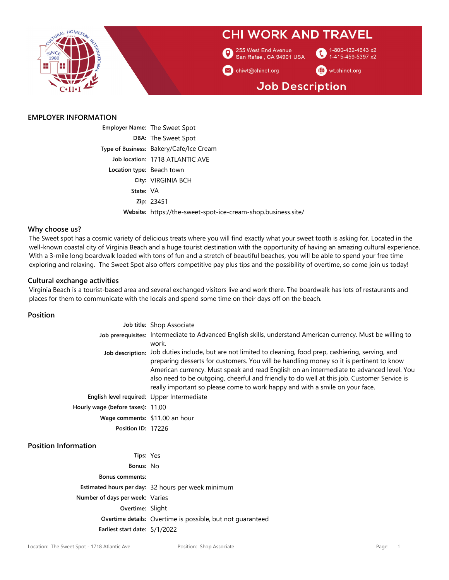

#### **EMPLOYER INFORMATION**

|                           | <b>Employer Name: The Sweet Spot</b>                          |
|---------------------------|---------------------------------------------------------------|
|                           | <b>DBA: The Sweet Spot</b>                                    |
|                           | Type of Business: Bakery/Cafe/Ice Cream                       |
|                           | Job location: 1718 ATLANTIC AVE                               |
| Location type: Beach town |                                                               |
|                           | City: VIRGINIA BCH                                            |
| State: VA                 |                                                               |
|                           | Zip: 23451                                                    |
|                           | Website: https://the-sweet-spot-ice-cream-shop.business.site/ |

#### **Why choose us?**

The Sweet spot has a cosmic variety of delicious treats where you will find exactly what your sweet tooth is asking for. Located in the well-known coastal city of Virginia Beach and a huge tourist destination with the opportunity of having an amazing cultural experience. With a 3-mile long boardwalk loaded with tons of fun and a stretch of beautiful beaches, you will be able to spend your free time exploring and relaxing. The Sweet Spot also offers competitive pay plus tips and the possibility of overtime, so come join us today!

#### **Cultural exchange activities**

Virginia Beach is a tourist-based area and several exchanged visitors live and work there. The boardwalk has lots of restaurants and places for them to communicate with the locals and spend some time on their days off on the beach.

**Position**

|                                            | Job title: Shop Associate                                                                                                                                                                                                                                                                                                                                                                                                                                                       |
|--------------------------------------------|---------------------------------------------------------------------------------------------------------------------------------------------------------------------------------------------------------------------------------------------------------------------------------------------------------------------------------------------------------------------------------------------------------------------------------------------------------------------------------|
|                                            | Job prerequisites: Intermediate to Advanced English skills, understand American currency. Must be willing to<br>work.                                                                                                                                                                                                                                                                                                                                                           |
|                                            | Job description: Job duties include, but are not limited to cleaning, food prep, cashiering, serving, and<br>preparing desserts for customers. You will be handling money so it is pertinent to know<br>American currency. Must speak and read English on an intermediate to advanced level. You<br>also need to be outgoing, cheerful and friendly to do well at this job. Customer Service is<br>really important so please come to work happy and with a smile on your face. |
| English level required: Upper Intermediate |                                                                                                                                                                                                                                                                                                                                                                                                                                                                                 |
| Hourly wage (before taxes): 11.00          |                                                                                                                                                                                                                                                                                                                                                                                                                                                                                 |
| Wage comments: \$11.00 an hour             |                                                                                                                                                                                                                                                                                                                                                                                                                                                                                 |
| Position ID: 17226                         |                                                                                                                                                                                                                                                                                                                                                                                                                                                                                 |

#### **Position Information**

| Tips: Yes                       |                                                                   |
|---------------------------------|-------------------------------------------------------------------|
| Bonus: No                       |                                                                   |
| <b>Bonus comments:</b>          |                                                                   |
|                                 | Estimated hours per day: 32 hours per week minimum                |
| Number of days per week: Varies |                                                                   |
| Overtime: Slight                |                                                                   |
|                                 | <b>Overtime details:</b> Overtime is possible, but not quaranteed |
| Earliest start date: 5/1/2022   |                                                                   |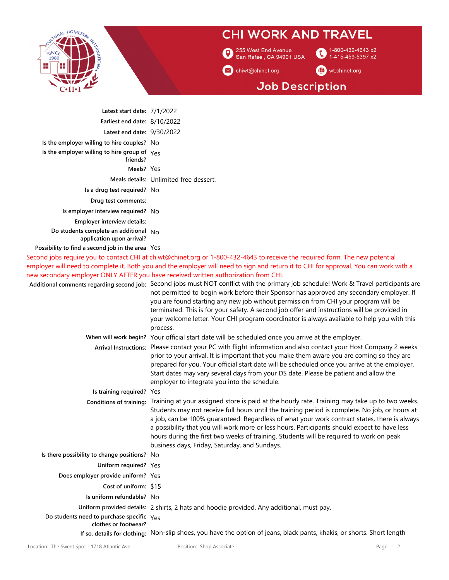

255 West End Avenue<br>3 San Rafael, CA 94901 USA

1-800-432-4643 x2  $\bullet$ 1-415-459-5397 x2

M chiwt@chinet.org

wt.chinet.org

# **Job Description**

| Latest start date: $7/1/2022$                                               |                                                                                                                                                                                                                                                                                                                                                                                                                                                                                                                                                                                                                                                                                                                                                                                                                                                                                                     |
|-----------------------------------------------------------------------------|-----------------------------------------------------------------------------------------------------------------------------------------------------------------------------------------------------------------------------------------------------------------------------------------------------------------------------------------------------------------------------------------------------------------------------------------------------------------------------------------------------------------------------------------------------------------------------------------------------------------------------------------------------------------------------------------------------------------------------------------------------------------------------------------------------------------------------------------------------------------------------------------------------|
| Earliest end date: 8/10/2022                                                |                                                                                                                                                                                                                                                                                                                                                                                                                                                                                                                                                                                                                                                                                                                                                                                                                                                                                                     |
| Latest end date: 9/30/2022                                                  |                                                                                                                                                                                                                                                                                                                                                                                                                                                                                                                                                                                                                                                                                                                                                                                                                                                                                                     |
| Is the employer willing to hire couples? No                                 |                                                                                                                                                                                                                                                                                                                                                                                                                                                                                                                                                                                                                                                                                                                                                                                                                                                                                                     |
| Is the employer willing to hire group of $Y_{PS}$<br>friends?               |                                                                                                                                                                                                                                                                                                                                                                                                                                                                                                                                                                                                                                                                                                                                                                                                                                                                                                     |
| Meals? Yes                                                                  |                                                                                                                                                                                                                                                                                                                                                                                                                                                                                                                                                                                                                                                                                                                                                                                                                                                                                                     |
|                                                                             | Meals details: Unlimited free dessert.                                                                                                                                                                                                                                                                                                                                                                                                                                                                                                                                                                                                                                                                                                                                                                                                                                                              |
| Is a drug test required? No                                                 |                                                                                                                                                                                                                                                                                                                                                                                                                                                                                                                                                                                                                                                                                                                                                                                                                                                                                                     |
| Drug test comments:                                                         |                                                                                                                                                                                                                                                                                                                                                                                                                                                                                                                                                                                                                                                                                                                                                                                                                                                                                                     |
| Is employer interview required? No                                          |                                                                                                                                                                                                                                                                                                                                                                                                                                                                                                                                                                                                                                                                                                                                                                                                                                                                                                     |
| Employer interview details:                                                 |                                                                                                                                                                                                                                                                                                                                                                                                                                                                                                                                                                                                                                                                                                                                                                                                                                                                                                     |
| Do students complete an additional $N_O$<br>application upon arrival?       |                                                                                                                                                                                                                                                                                                                                                                                                                                                                                                                                                                                                                                                                                                                                                                                                                                                                                                     |
| Possibility to find a second job in the area Yes                            |                                                                                                                                                                                                                                                                                                                                                                                                                                                                                                                                                                                                                                                                                                                                                                                                                                                                                                     |
|                                                                             | Second jobs require you to contact CHI at chiwt@chinet.org or 1-800-432-4643 to receive the required form. The new potential<br>employer will need to complete it. Both you and the employer will need to sign and return it to CHI for approval. You can work with a<br>new secondary employer ONLY AFTER you have received written authorization from CHI.<br>Additional comments regarding second job: Second jobs must NOT conflict with the primary job schedule! Work & Travel participants are<br>not permitted to begin work before their Sponsor has approved any secondary employer. If<br>you are found starting any new job without permission from CHI your program will be<br>terminated. This is for your safety. A second job offer and instructions will be provided in<br>your welcome letter. Your CHI program coordinator is always available to help you with this<br>process. |
|                                                                             | When will work begin? Your official start date will be scheduled once you arrive at the employer.                                                                                                                                                                                                                                                                                                                                                                                                                                                                                                                                                                                                                                                                                                                                                                                                   |
|                                                                             | Arrival Instructions: Please contact your PC with flight information and also contact your Host Company 2 weeks<br>prior to your arrival. It is important that you make them aware you are coming so they are<br>prepared for you. Your official start date will be scheduled once you arrive at the employer.<br>Start dates may vary several days from your DS date. Please be patient and allow the<br>employer to integrate you into the schedule.                                                                                                                                                                                                                                                                                                                                                                                                                                              |
| Is training required? Yes                                                   |                                                                                                                                                                                                                                                                                                                                                                                                                                                                                                                                                                                                                                                                                                                                                                                                                                                                                                     |
|                                                                             | Conditions of training: Training at your assigned store is paid at the hourly rate. Training may take up to two weeks.<br>Students may not receive full hours until the training period is complete. No job, or hours at<br>a job, can be 100% guaranteed. Regardless of what your work contract states, there is always<br>a possibility that you will work more or less hours. Participants should expect to have less<br>hours during the first two weeks of training. Students will be required to work on peak<br>business days, Friday, Saturday, and Sundays.                                                                                                                                                                                                                                                                                                                                |
| Is there possibility to change positions? No                                |                                                                                                                                                                                                                                                                                                                                                                                                                                                                                                                                                                                                                                                                                                                                                                                                                                                                                                     |
| Uniform required? Yes                                                       |                                                                                                                                                                                                                                                                                                                                                                                                                                                                                                                                                                                                                                                                                                                                                                                                                                                                                                     |
| Does employer provide uniform? Yes                                          |                                                                                                                                                                                                                                                                                                                                                                                                                                                                                                                                                                                                                                                                                                                                                                                                                                                                                                     |
| Cost of uniform: \$15                                                       |                                                                                                                                                                                                                                                                                                                                                                                                                                                                                                                                                                                                                                                                                                                                                                                                                                                                                                     |
| Is uniform refundable? No                                                   |                                                                                                                                                                                                                                                                                                                                                                                                                                                                                                                                                                                                                                                                                                                                                                                                                                                                                                     |
|                                                                             | Uniform provided details: 2 shirts, 2 hats and hoodie provided. Any additional, must pay.                                                                                                                                                                                                                                                                                                                                                                                                                                                                                                                                                                                                                                                                                                                                                                                                           |
| Do students need to purchase specific $\gamma_{PS}$<br>clothes or footwear? |                                                                                                                                                                                                                                                                                                                                                                                                                                                                                                                                                                                                                                                                                                                                                                                                                                                                                                     |

**If so, details for clothing:** Non-slip shoes, you have the option of jeans, black pants, khakis, or shorts. Short length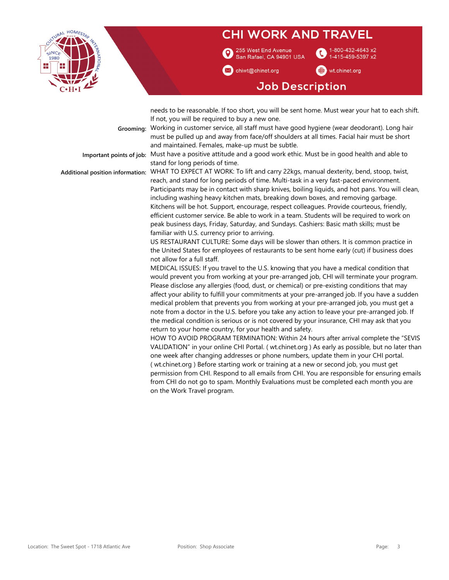

255 West End Avenue San Rafael, CA 94901 USA

chiwt@chinet.org

-800-432-4643 x2 1-415-459-5397 x2

wt.chinet.org

## **Job Description**

needs to be reasonable. If too short, you will be sent home. Must wear your hat to each shift. If not, you will be required to buy a new one.

**Grooming:** Working in customer service, all staff must have good hygiene (wear deodorant). Long hair must be pulled up and away from face/off shoulders at all times. Facial hair must be short and maintained. Females, make-up must be subtle.

**Important points of job:** Must have a positive attitude and a good work ethic. Must be in good health and able to

stand for long periods of time. **Additional position information:** WHAT TO EXPECT AT WORK: To lift and carry 22kgs, manual dexterity, bend, stoop, twist, reach, and stand for long periods of time. Multi-task in a very fast-paced environment. Participants may be in contact with sharp knives, boiling liquids, and hot pans. You will clean, including washing heavy kitchen mats, breaking down boxes, and removing garbage. Kitchens will be hot. Support, encourage, respect colleagues. Provide courteous, friendly, efficient customer service. Be able to work in a team. Students will be required to work on peak business days, Friday, Saturday, and Sundays. Cashiers: Basic math skills; must be familiar with U.S. currency prior to arriving.

> US RESTAURANT CULTURE: Some days will be slower than others. It is common practice in the United States for employees of restaurants to be sent home early (cut) if business does not allow for a full staff.

MEDICAL ISSUES: If you travel to the U.S. knowing that you have a medical condition that would prevent you from working at your pre-arranged job, CHI will terminate your program. Please disclose any allergies (food, dust, or chemical) or pre-existing conditions that may affect your ability to fulfill your commitments at your pre-arranged job. If you have a sudden medical problem that prevents you from working at your pre-arranged job, you must get a note from a doctor in the U.S. before you take any action to leave your pre-arranged job. If the medical condition is serious or is not covered by your insurance, CHI may ask that you return to your home country, for your health and safety.

HOW TO AVOID PROGRAM TERMINATION: Within 24 hours after arrival complete the "SEVIS VALIDATION" in your online CHI Portal. ( wt.chinet.org ) As early as possible, but no later than one week after changing addresses or phone numbers, update them in your CHI portal. ( wt.chinet.org ) Before starting work or training at a new or second job, you must get permission from CHI. Respond to all emails from CHI. You are responsible for ensuring emails from CHI do not go to spam. Monthly Evaluations must be completed each month you are on the Work Travel program.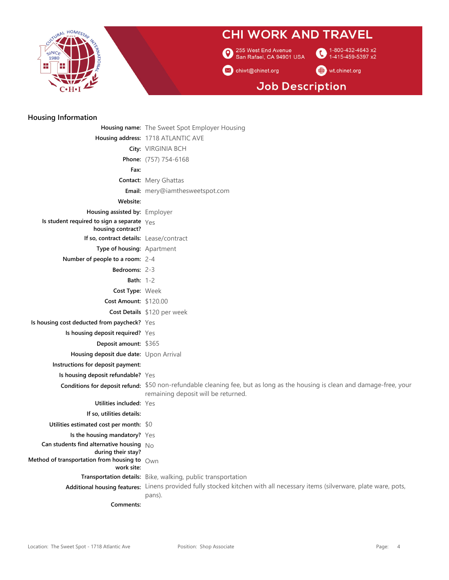

255 West End Avenue<br>3 San Rafael, CA 94901 USA

1-800-432-4643 x2  $\bullet$ 1-415-459-5397 x2

M chiwt@chinet.org

#### wt.chinet.org

## **Job Description**

#### **Housing Information**

|                                                                                                                         | <b>Housing name:</b> The Sweet Spot Employer Housing                                                                                                              |
|-------------------------------------------------------------------------------------------------------------------------|-------------------------------------------------------------------------------------------------------------------------------------------------------------------|
|                                                                                                                         | Housing address: 1718 ATLANTIC AVE                                                                                                                                |
|                                                                                                                         | City: VIRGINIA BCH                                                                                                                                                |
|                                                                                                                         | Phone: (757) 754-6168                                                                                                                                             |
| Fax:                                                                                                                    |                                                                                                                                                                   |
|                                                                                                                         | <b>Contact: Mery Ghattas</b>                                                                                                                                      |
|                                                                                                                         | Email: mery@iamthesweetspot.com                                                                                                                                   |
| Website:                                                                                                                |                                                                                                                                                                   |
| Housing assisted by: Employer                                                                                           |                                                                                                                                                                   |
| Is student required to sign a separate $Y_{\text{eS}}$<br>housing contract?                                             |                                                                                                                                                                   |
| If so, contract details: Lease/contract                                                                                 |                                                                                                                                                                   |
| Type of housing: Apartment                                                                                              |                                                                                                                                                                   |
| Number of people to a room: 2-4                                                                                         |                                                                                                                                                                   |
| <b>Bedrooms: 2-3</b>                                                                                                    |                                                                                                                                                                   |
| <b>Bath:</b> $1-2$                                                                                                      |                                                                                                                                                                   |
| Cost Type: Week                                                                                                         |                                                                                                                                                                   |
| Cost Amount: \$120.00                                                                                                   |                                                                                                                                                                   |
|                                                                                                                         | Cost Details \$120 per week                                                                                                                                       |
| Is housing cost deducted from paycheck? Yes                                                                             |                                                                                                                                                                   |
| Is housing deposit required? Yes                                                                                        |                                                                                                                                                                   |
| Deposit amount: \$365                                                                                                   |                                                                                                                                                                   |
| Housing deposit due date: Upon Arrival                                                                                  |                                                                                                                                                                   |
| Instructions for deposit payment:                                                                                       |                                                                                                                                                                   |
| Is housing deposit refundable? Yes                                                                                      |                                                                                                                                                                   |
|                                                                                                                         | Conditions for deposit refund: \$50 non-refundable cleaning fee, but as long as the housing is clean and damage-free, your<br>remaining deposit will be returned. |
| Utilities included: Yes                                                                                                 |                                                                                                                                                                   |
| If so, utilities details:                                                                                               |                                                                                                                                                                   |
| Utilities estimated cost per month: \$0                                                                                 |                                                                                                                                                                   |
| Is the housing mandatory? Yes                                                                                           |                                                                                                                                                                   |
| Can students find alternative housing $N_O$                                                                             |                                                                                                                                                                   |
| during their stay?<br>Method of transportation from housing to $\;$ $_{\mathsf{O}\mathsf{W}\mathsf{D}}\;$<br>work site: |                                                                                                                                                                   |
|                                                                                                                         | Transportation details: Bike, walking, public transportation                                                                                                      |
|                                                                                                                         | Additional housing features: Linens provided fully stocked kitchen with all necessary items (silverware, plate ware, pots,<br>pans).                              |
| Comments:                                                                                                               |                                                                                                                                                                   |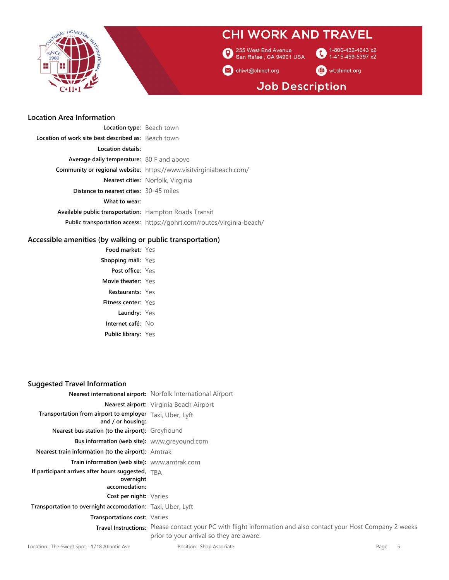

255 West End Avenue<br>San Rafael, CA 94901 USA  $\boldsymbol{\Omega}$ 

1-800-432-4643 x2 G 1-415-459-5397 x2

M chiwt@chinet.org

wt.chinet.org

# **Job Description**

#### **Location Area Information**

| Location type: Beach town                                     |                                                                           |
|---------------------------------------------------------------|---------------------------------------------------------------------------|
| <b>Location of work site best described as:</b> Beach town    |                                                                           |
| Location details:                                             |                                                                           |
| <b>Average daily temperature:</b> 80 F and above              |                                                                           |
|                                                               | <b>Community or regional website:</b> https://www.visitvirginiabeach.com/ |
|                                                               | <b>Nearest cities:</b> Norfolk, Virginia                                  |
| <b>Distance to nearest cities: 30-45 miles</b>                |                                                                           |
| What to wear:                                                 |                                                                           |
| <b>Available public transportation:</b> Hampton Roads Transit |                                                                           |
|                                                               | Public transportation access: https://gohrt.com/routes/virginia-beach/    |
|                                                               |                                                                           |

#### **Accessible amenities (by walking or public transportation)**

**Food market:** Yes **Shopping mall:** Yes **Post office:** Yes **Movie theater:** Yes **Restaurants:** Yes **Fitness center:** Yes **Laundry:** Yes **Internet café:** No **Public library:** Yes

#### **Suggested Travel Information**

|                                                                                   | <b>Nearest international airport:</b> Norfolk International Airport                                                                                        |
|-----------------------------------------------------------------------------------|------------------------------------------------------------------------------------------------------------------------------------------------------------|
|                                                                                   | Nearest airport: Virginia Beach Airport                                                                                                                    |
| Transportation from airport to employer Taxi, Uber, Lyft<br>and / or housing:     |                                                                                                                                                            |
| Nearest bus station (to the airport): Greyhound                                   |                                                                                                                                                            |
| <b>Bus information (web site):</b> www.greyound.com                               |                                                                                                                                                            |
| <b>Nearest train information (to the airport):</b> Amtrak                         |                                                                                                                                                            |
| Train information (web site): www.amtrak.com                                      |                                                                                                                                                            |
| If participant arrives after hours suggested, $TBA$<br>overnight<br>accomodation: |                                                                                                                                                            |
| Cost per night: Varies                                                            |                                                                                                                                                            |
| Transportation to overnight accomodation: Taxi, Uber, Lyft                        |                                                                                                                                                            |
| Transportations cost: Varies                                                      |                                                                                                                                                            |
|                                                                                   | Travel Instructions: Please contact your PC with flight information and also contact your Host Company 2 weeks<br>prior to your arrival so they are aware. |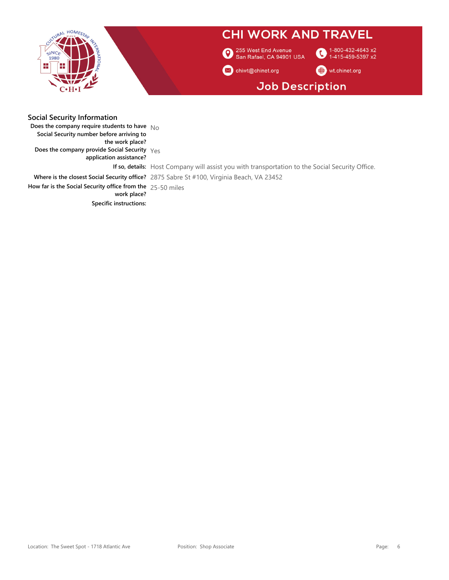

| <b>Social Security Information</b>                           |                                                                                                        |
|--------------------------------------------------------------|--------------------------------------------------------------------------------------------------------|
| Does the company require students to have $N_{\Omega}$       |                                                                                                        |
| Social Security number before arriving to                    |                                                                                                        |
| the work place?                                              |                                                                                                        |
| Does the company provide Social Security $Y_{PS}$            |                                                                                                        |
| application assistance?                                      |                                                                                                        |
|                                                              | <b>If so, details:</b> Host Company will assist you with transportation to the Social Security Office. |
|                                                              | Where is the closest Social Security office? 2875 Sabre St #100, Virginia Beach, VA 23452              |
| How far is the Social Security office from the $25-50$ miles |                                                                                                        |
| work place?                                                  |                                                                                                        |
| <b>Specific instructions:</b>                                |                                                                                                        |
|                                                              |                                                                                                        |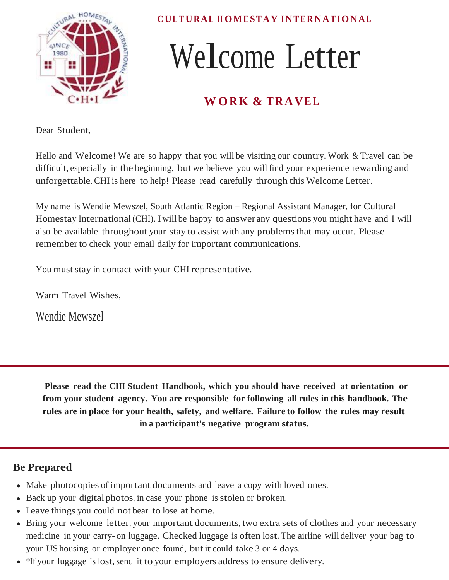

**CUL TURAL H OMESTAY I NTE R NATIONAL**

# Welcome Letter

# **W ORK & TRAVEL**

Dear Student,

Hello and Welcome! We are so happy that you will be visiting our country. Work & Travel can be difficult, especially in the beginning, but we believe you will find your experience rewarding and unforgettable. CHI is here to help! Please read carefully through this Welcome Letter.

My name is Wendie Mewszel, South Atlantic Region – Regional Assistant Manager, for Cultural Homestay International (CHI). I will be happy to answer any questions you might have and I will also be available throughout your stay to assist with any problemsthat may occur. Please rememberto check your email daily for important communications.

You must stay in contact with your CHI representative.

Warm Travel Wishes,

Wendie Mewszel

**Please read the CHI Student Handbook, which you should have received at orientation or from your student agency. You are responsible for following all rules in this handbook. The rules are in place for your health, safety, and welfare. Failure to follow the rules may result in a participant's negative program status.**

## **Be Prepared**

- Make photocopies of important documents and leave a copy with loved ones.
- Back up your digital photos, in case your phone is stolen or broken.
- Leave things you could not bear to lose at home.
- Bring your welcome letter, your important documents, two extra sets of clothes and your necessary medicine in your carry- on luggage. Checked luggage is often lost. The airline will deliver your bag to your US housing or employer once found, but it could take 3 or 4 days.
- \*If your luggage is lost, send it to your employers address to ensure delivery.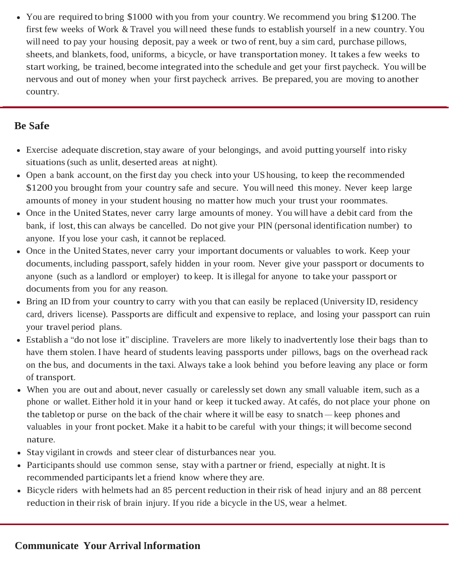• You are required to bring \$1000 with you from your country. We recommend you bring \$1200. The first few weeks of Work & Travel you will need these funds to establish yourself in a new country. You will need to pay your housing deposit, pay a week or two of rent, buy a sim card, purchase pillows, sheets, and blankets, food, uniforms, a bicycle, or have transportation money. It takes a few weeks to start working, be trained, become integrated into the schedule and get your first paycheck. You will be nervous and out of money when your first paycheck arrives. Be prepared, you are moving to another country.

## **Be Safe**

- Exercise adequate discretion, stay aware of your belongings, and avoid putting yourself into risky situations(such as unlit, deserted areas at night).
- Open a bank account, on the first day you check into your US housing, to keep the recommended \$1200 you brought from your country safe and secure. You will need this money. Never keep large amounts of money in your student housing no matter how much your trust your roommates.
- Once in the United States, never carry large amounts of money. You will have a debit card from the bank, if lost, this can always be cancelled. Do not give your PIN (personal identification number) to anyone. If you lose your cash, it cannot be replaced.
- Once in the United States, never carry your important documents or valuables to work. Keep your documents, including passport, safely hidden in your room. Never give your passport or documents to anyone (such as a landlord or employer) to keep. It is illegal for anyone to take your passport or documents from you for any reason.
- Bring an ID from your country to carry with you that can easily be replaced (University ID, residency card, drivers license). Passports are difficult and expensive to replace, and losing your passport can ruin your travel period plans.
- Establish a "do not lose it" discipline. Travelers are more likely to inadvertently lose their bags than to have them stolen. I have heard of students leaving passports under pillows, bags on the overhead rack on the bus, and documents in the taxi. Always take a look behind you before leaving any place or form of transport.
- When you are out and about, never casually or carelessly set down any small valuable item, such as a phone or wallet. Either hold it in your hand or keep it tucked away. At cafés, do not place your phone on the tabletop or purse on the back of the chair where it will be easy to snatch — keep phones and valuables in your front pocket. Make it a habit to be careful with your things; it will become second nature.
- Stay vigilant in crowds and steer clear of disturbances near you.
- Participants should use common sense, stay with a partner or friend, especially at night. It is recommended participants let a friend know where they are.
- Bicycle riders with helmets had an 85 percent reduction in their risk of head injury and an 88 percent reduction in their risk of brain injury. If you ride a bicycle in the US, wear a helmet.

## **Communicate Your Arrival Information**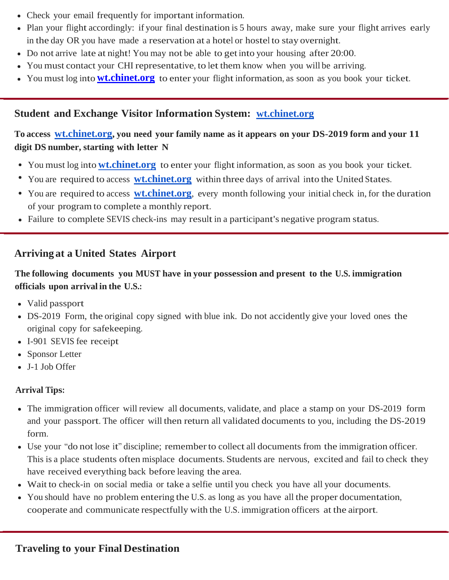- Check your email frequently for important information.
- Plan your flight accordingly: if your final destination is 5 hours away, make sure your flight arrives early in the day OR you have made a reservation at a hotel or hostel to stay overnight.
- Do not arrive late at night! You may not be able to get into your housing after 20:00.
- You must contact your CHI representative, to let them know when you will be arriving.
- You must log into **[wt.chinet.org](http://wt.chinet.org/)** to enter your flight information, as soon as you book your ticket.

### **Student and Exchange Visitor Information System: [wt.chinet.org](http://wt.chinet.org/)**

### **To access [wt.chinet.org](http://wt.chinet.org/), you need your family name as it appears on your DS-2019 form and your 11 digit DS number, starting with letter N**

- You must log into **[wt.chinet.org](http://wt.chinet.org/)** to enter your flight information, as soon as you book your ticket.
- You are required to access **[wt.chinet.org](http://wt.chinet.org/)** within three days of arrival into the United States.
- You are required to access **[wt.chinet.org](http://wt.chinet.org/)**, every month following your initial check in, for the duration of your program to complete a monthly report.
- Failure to complete SEVIS check-ins may result in a participant's negative program status.

### **Arriving at a United States Airport**

#### **The following documents you MUST have in your possession and present to the U.S. immigration officials upon arrival in the U.S.:**

- Valid passport
- DS-2019 Form, the original copy signed with blue ink. Do not accidently give your loved ones the original copy for safekeeping.
- I-901 SEVIS fee receipt
- Sponsor Letter
- J-1 Job Offer

#### **Arrival Tips:**

- The immigration officer will review all documents, validate, and place a stamp on your DS-2019 form and your passport. The officer will then return all validated documents to you, including the DS-2019 form.
- Use your "do not lose it" discipline; rememberto collect all documents from the immigration officer. This is a place students often misplace documents. Students are nervous, excited and fail to check they have received everything back before leaving the area.
- Wait to check-in on social media or take a selfie until you check you have all your documents.
- You should have no problem entering the U.S. as long as you have all the proper documentation, cooperate and communicate respectfully with the U.S. immigration officers at the airport.

#### **Traveling to your Final Destination**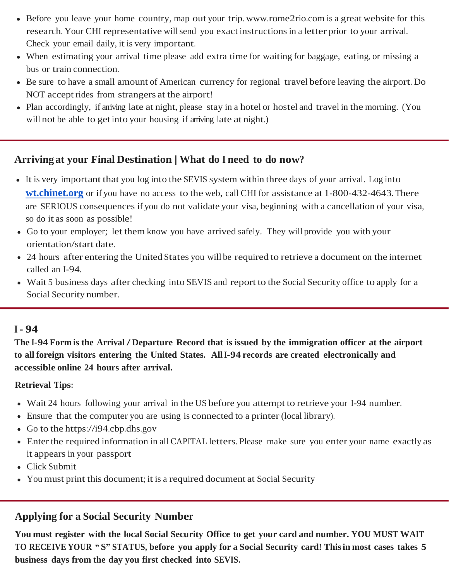- Before you leave your home country, map out your trip. [www.rome2rio.com](http://www.rome2rio.com/) is a great website for this research. Your CHI representative will send you exact instructions in a letter prior to your arrival. Check your email daily, it is very important.
- When estimating your arrival time please add extra time for waiting for baggage, eating, or missing a bus or train connection.
- Be sure to have a small amount of American currency for regional travel before leaving the airport. Do NOT accept rides from strangers at the airport!
- Plan accordingly, if arriving late at night, please stay in a hotel or hostel and travel in the morning. (You will not be able to get into your housing if anyoning late at night.)

### **Arriving at your Final Destination | What do <sup>I</sup> need to do now?**

- It is very important that you log into the SEVIS system within three days of your arrival. Log into **[wt.chinet.org](http://wt.chinet.org/)** or if you have no access to the web, call CHI for assistance at 1-800-432-4643. There are SERIOUS consequences if you do not validate your visa, beginning with a cancellation of your visa, so do it as soon as possible!
- Go to your employer; let them know you have arrived safely. They will provide you with your orientation/start date.
- 24 hours after entering the United States you will be required to retrieve a document on the internet called an I-94.
- Wait 5 business days after checking into SEVIS and report to the Social Security office to apply for a Social Security number.

#### **<sup>I</sup> - 94**

The I-94 Form is the Arrival / Departure Record that is issued by the immigration officer at the airport **to all foreign visitors entering the United States. AllI-94 records are created electronically and accessible online 24 hours after arrival.**

#### **Retrieval Tips:**

- Wait 24 hours following your arrival in the US before you attempt to retrieve your I-94 number.
- Ensure that the computer you are using is connected to a printer (local library).
- Go to the https://i94.cbp.dhs.gov
- Enter the required information in all CAPITAL letters. Please make sure you enter your name exactly as it appears in your passport
- Click Submit
- You must print this document; it is a required document at Social Security

## **Applying for a Social Security Number**

**You must register with the local Social Security Office to get your card and number. YOU MUST WAIT**  TO RECEIVE YOUR "S" STATUS, before you apply for a Social Security card! This in most cases takes 5 **business days from the day you first checked into SEVIS.**